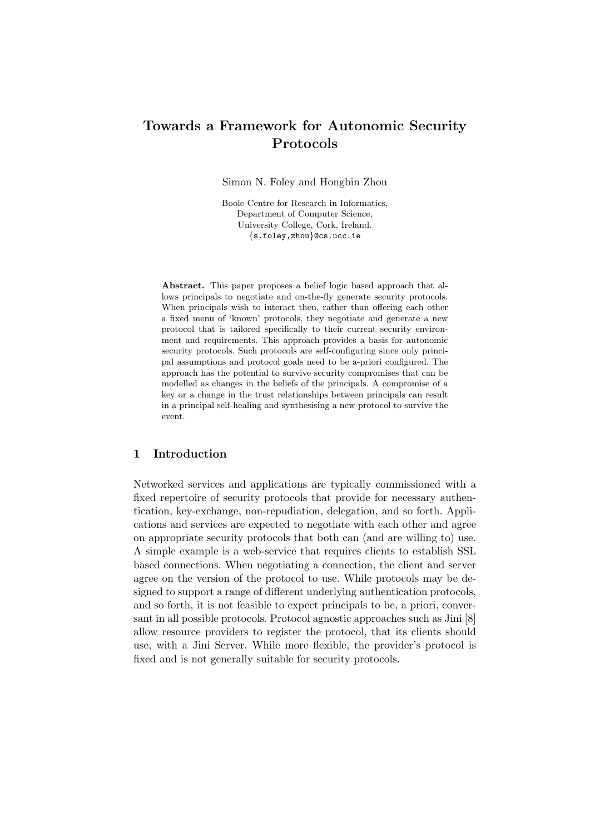# Towards a Framework for Autonomic Security Protocols

Simon N. Foley and Hongbin Zhou

Boole Centre for Research in Informatics, Department of Computer Science, University College, Cork, Ireland. {s.foley,zhou}@cs.ucc.ie

Abstract. This paper proposes a belief logic based approach that allows principals to negotiate and on-the-fly generate security protocols. When principals wish to interact then, rather than offering each other a fixed menu of 'known' protocols, they negotiate and generate a new protocol that is tailored specifically to their current security environment and requirements. This approach provides a basis for autonomic security protocols. Such protocols are self-configuring since only principal assumptions and protocol goals need to be a-priori configured. The approach has the potential to survive security compromises that can be modelled as changes in the beliefs of the principals. A compromise of a key or a change in the trust relationships between principals can result in a principal self-healing and synthesising a new protocol to survive the event.

# 1 Introduction

Networked services and applications are typically commissioned with a fixed repertoire of security protocols that provide for necessary authentication, key-exchange, non-repudiation, delegation, and so forth. Applications and services are expected to negotiate with each other and agree on appropriate security protocols that both can (and are willing to) use. A simple example is a web-service that requires clients to establish SSL based connections. When negotiating a connection, the client and server agree on the version of the protocol to use. While protocols may be designed to support a range of different underlying authentication protocols, and so forth, it is not feasible to expect principals to be, a priori, conversant in all possible protocols. Protocol agnostic approaches such as Jini [8] allow resource providers to register the protocol, that its clients should use, with a Jini Server. While more flexible, the provider's protocol is fixed and is not generally suitable for security protocols.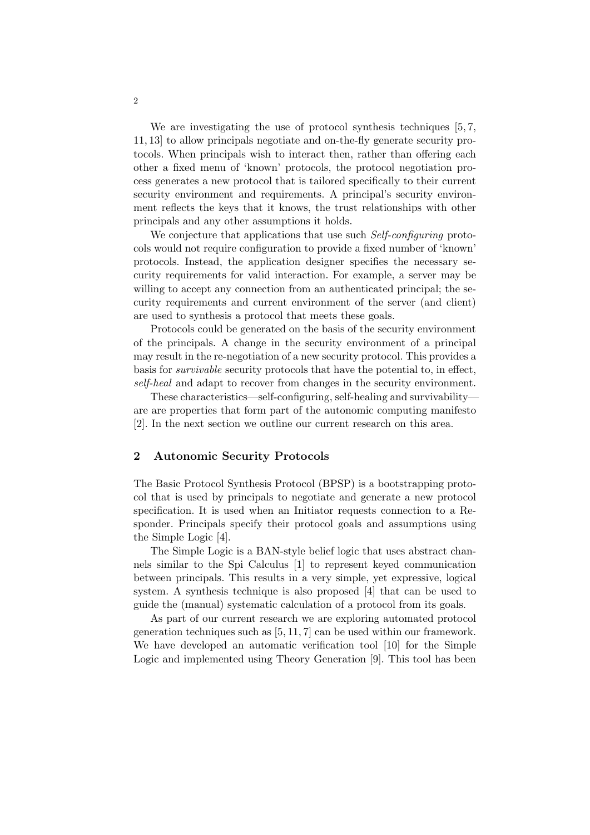We are investigating the use of protocol synthesis techniques [5, 7, 11, 13] to allow principals negotiate and on-the-fly generate security protocols. When principals wish to interact then, rather than offering each other a fixed menu of 'known' protocols, the protocol negotiation process generates a new protocol that is tailored specifically to their current security environment and requirements. A principal's security environment reflects the keys that it knows, the trust relationships with other principals and any other assumptions it holds.

We conjecture that applications that use such Self-configuring protocols would not require configuration to provide a fixed number of 'known' protocols. Instead, the application designer specifies the necessary security requirements for valid interaction. For example, a server may be willing to accept any connection from an authenticated principal; the security requirements and current environment of the server (and client) are used to synthesis a protocol that meets these goals.

Protocols could be generated on the basis of the security environment of the principals. A change in the security environment of a principal may result in the re-negotiation of a new security protocol. This provides a basis for survivable security protocols that have the potential to, in effect, self-heal and adapt to recover from changes in the security environment.

These characteristics—self-configuring, self-healing and survivability are are properties that form part of the autonomic computing manifesto [2]. In the next section we outline our current research on this area.

### 2 Autonomic Security Protocols

The Basic Protocol Synthesis Protocol (BPSP) is a bootstrapping protocol that is used by principals to negotiate and generate a new protocol specification. It is used when an Initiator requests connection to a Responder. Principals specify their protocol goals and assumptions using the Simple Logic [4].

The Simple Logic is a BAN-style belief logic that uses abstract channels similar to the Spi Calculus [1] to represent keyed communication between principals. This results in a very simple, yet expressive, logical system. A synthesis technique is also proposed [4] that can be used to guide the (manual) systematic calculation of a protocol from its goals.

As part of our current research we are exploring automated protocol generation techniques such as [5, 11, 7] can be used within our framework. We have developed an automatic verification tool [10] for the Simple Logic and implemented using Theory Generation [9]. This tool has been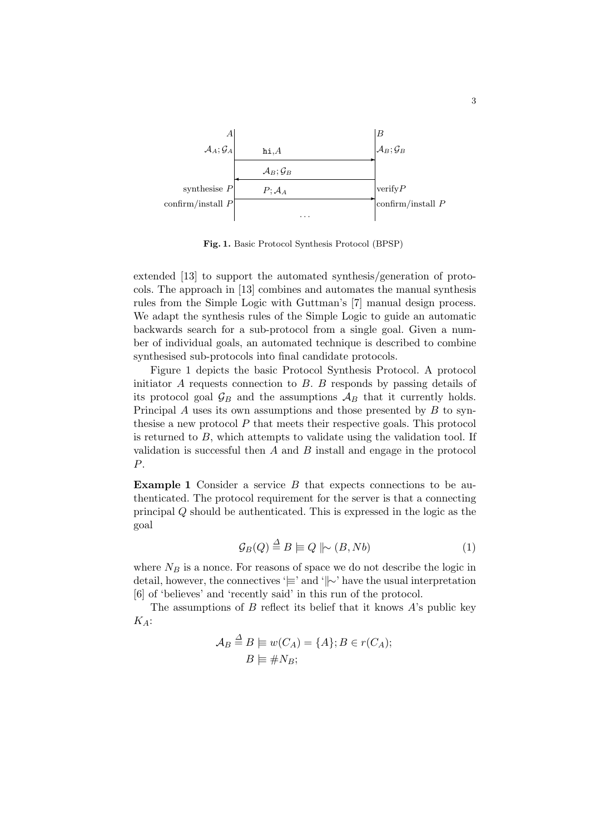

Fig. 1. Basic Protocol Synthesis Protocol (BPSP)

extended [13] to support the automated synthesis/generation of protocols. The approach in [13] combines and automates the manual synthesis rules from the Simple Logic with Guttman's [7] manual design process. We adapt the synthesis rules of the Simple Logic to guide an automatic backwards search for a sub-protocol from a single goal. Given a number of individual goals, an automated technique is described to combine synthesised sub-protocols into final candidate protocols.

Figure 1 depicts the basic Protocol Synthesis Protocol. A protocol initiator  $A$  requests connection to  $B$ .  $B$  responds by passing details of its protocol goal  $\mathcal{G}_B$  and the assumptions  $\mathcal{A}_B$  that it currently holds. Principal  $A$  uses its own assumptions and those presented by  $B$  to synthesise a new protocol  $P$  that meets their respective goals. This protocol is returned to  $B$ , which attempts to validate using the validation tool. If validation is successful then  $A$  and  $B$  install and engage in the protocol P.

Example 1 Consider a service B that expects connections to be authenticated. The protocol requirement for the server is that a connecting principal Q should be authenticated. This is expressed in the logic as the goal

$$
\mathcal{G}_B(Q) \stackrel{\Delta}{=} B \models Q \parallel \sim (B, Nb) \tag{1}
$$

where  $N_B$  is a nonce. For reasons of space we do not describe the logic in detail, however, the connectives '|≡' and 'k∼' have the usual interpretation [6] of 'believes' and 'recently said' in this run of the protocol.

The assumptions of  $B$  reflect its belief that it knows  $A$ 's public key  $K_A$ :

$$
\mathcal{A}_B \stackrel{\Delta}{=} B \models w(C_A) = \{A\}; B \in r(C_A);
$$
  

$$
B \models \# N_B;
$$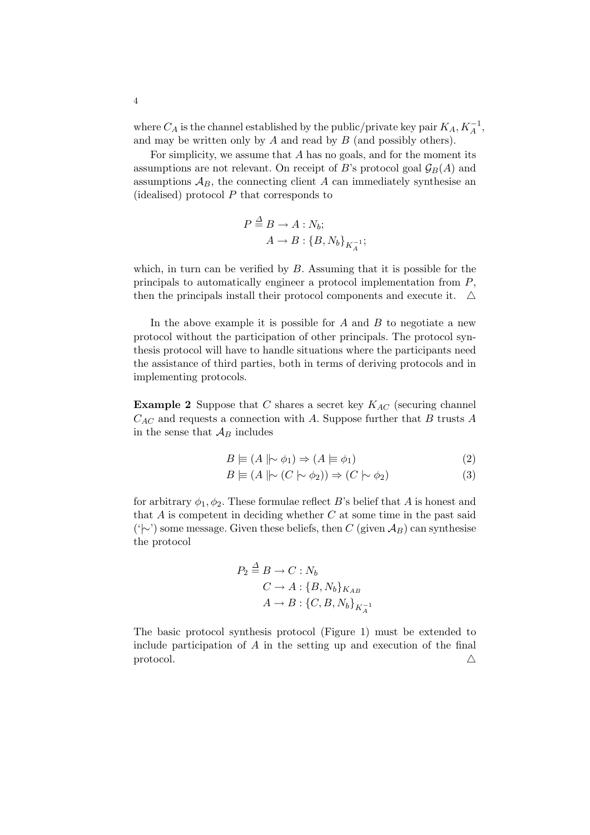where  $C_A$  is the channel established by the public/private key pair  $K_A$ ,  $K_A^{-1}$ , and may be written only by  $A$  and read by  $B$  (and possibly others).

For simplicity, we assume that  $A$  has no goals, and for the moment its assumptions are not relevant. On receipt of B's protocol goal  $\mathcal{G}_B(A)$  and assumptions  $A_B$ , the connecting client A can immediately synthesise an (idealised) protocol  $P$  that corresponds to

$$
P \stackrel{\Delta}{=} B \to A : N_b; \\
A \to B : \{B, N_b\}_{K_A^{-1}};
$$

which, in turn can be verified by  $B$ . Assuming that it is possible for the principals to automatically engineer a protocol implementation from P, then the principals install their protocol components and execute it.  $\Delta$ 

In the above example it is possible for  $A$  and  $B$  to negotiate a new protocol without the participation of other principals. The protocol synthesis protocol will have to handle situations where the participants need the assistance of third parties, both in terms of deriving protocols and in implementing protocols.

**Example 2** Suppose that C shares a secret key  $K_{AC}$  (securing channel  $C_{AC}$  and requests a connection with A. Suppose further that B trusts A in the sense that  $A_B$  includes

$$
B \models (A \parallel \sim \phi_1) \Rightarrow (A \models \phi_1) \tag{2}
$$

$$
B \models (A \mid \sim (C \mid \sim \phi_2)) \Rightarrow (C \mid \sim \phi_2)
$$
\n
$$
(3)
$$

for arbitrary  $\phi_1, \phi_2$ . These formulae reflect B's belief that A is honest and that  $A$  is competent in deciding whether  $C$  at some time in the past said  $(\forall \sim)$  some message. Given these beliefs, then C (given  $\mathcal{A}_B$ ) can synthesise the protocol

$$
P_2 \stackrel{\Delta}{=} B \to C : N_b
$$
  

$$
C \to A : \{B, N_b\}_{K_{AB}}
$$
  

$$
A \to B : \{C, B, N_b\}_{K_A^{-1}}
$$

The basic protocol synthesis protocol (Figure 1) must be extended to include participation of  $A$  in the setting up and execution of the final protocol.  $\triangle$ 

4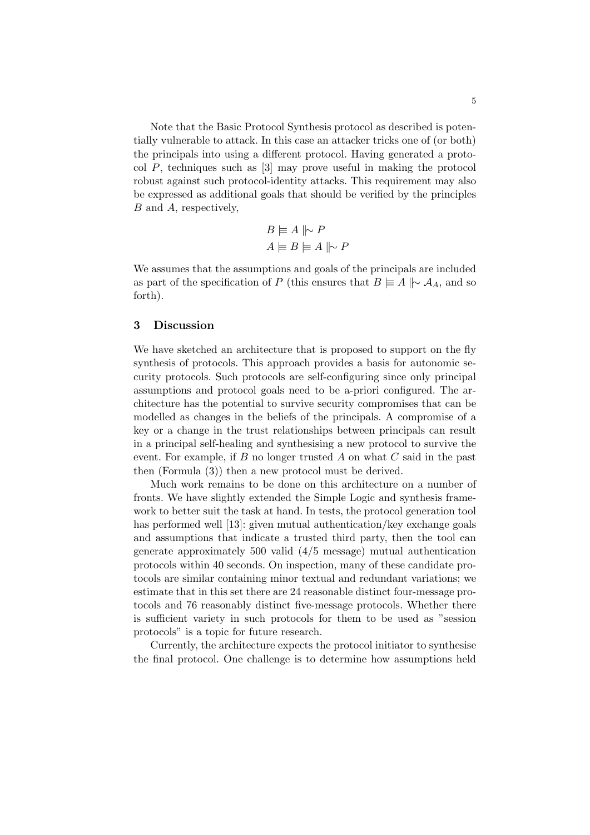Note that the Basic Protocol Synthesis protocol as described is potentially vulnerable to attack. In this case an attacker tricks one of (or both) the principals into using a different protocol. Having generated a protocol P, techniques such as [3] may prove useful in making the protocol robust against such protocol-identity attacks. This requirement may also be expressed as additional goals that should be verified by the principles B and A, respectively,

$$
B \models A \parallel\!\sim P
$$

$$
A \models B \models A \parallel\!\sim P
$$

We assumes that the assumptions and goals of the principals are included as part of the specification of P (this ensures that  $B \models A \mid \sim A_A$ , and so forth).

## 3 Discussion

We have sketched an architecture that is proposed to support on the fly synthesis of protocols. This approach provides a basis for autonomic security protocols. Such protocols are self-configuring since only principal assumptions and protocol goals need to be a-priori configured. The architecture has the potential to survive security compromises that can be modelled as changes in the beliefs of the principals. A compromise of a key or a change in the trust relationships between principals can result in a principal self-healing and synthesising a new protocol to survive the event. For example, if  $B$  no longer trusted  $A$  on what  $C$  said in the past then (Formula (3)) then a new protocol must be derived.

Much work remains to be done on this architecture on a number of fronts. We have slightly extended the Simple Logic and synthesis framework to better suit the task at hand. In tests, the protocol generation tool has performed well [13]: given mutual authentication/key exchange goals and assumptions that indicate a trusted third party, then the tool can generate approximately 500 valid (4/5 message) mutual authentication protocols within 40 seconds. On inspection, many of these candidate protocols are similar containing minor textual and redundant variations; we estimate that in this set there are 24 reasonable distinct four-message protocols and 76 reasonably distinct five-message protocols. Whether there is sufficient variety in such protocols for them to be used as "session protocols" is a topic for future research.

Currently, the architecture expects the protocol initiator to synthesise the final protocol. One challenge is to determine how assumptions held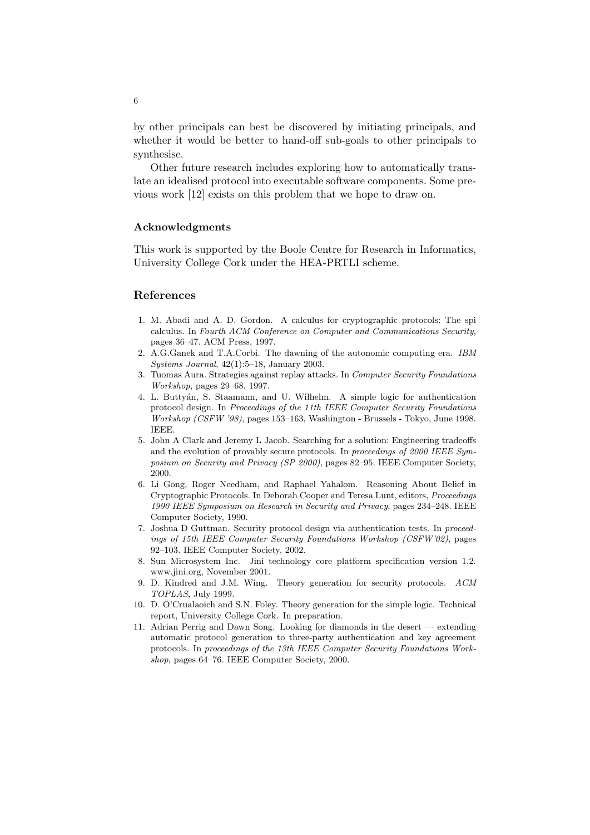by other principals can best be discovered by initiating principals, and whether it would be better to hand-off sub-goals to other principals to synthesise.

Other future research includes exploring how to automatically translate an idealised protocol into executable software components. Some previous work [12] exists on this problem that we hope to draw on.

#### Acknowledgments

This work is supported by the Boole Centre for Research in Informatics, University College Cork under the HEA-PRTLI scheme.

## References

- 1. M. Abadi and A. D. Gordon. A calculus for cryptographic protocols: The spi calculus. In Fourth ACM Conference on Computer and Communications Security, pages 36–47. ACM Press, 1997.
- 2. A.G.Ganek and T.A.Corbi. The dawning of the autonomic computing era. IBM Systems Journal, 42(1):5–18, January 2003.
- 3. Tuomas Aura. Strategies against replay attacks. In Computer Security Foundations Workshop, pages 29–68, 1997.
- 4. L. Butty´an, S. Staamann, and U. Wilhelm. A simple logic for authentication protocol design. In Proceedings of the 11th IEEE Computer Security Foundations Workshop (CSFW '98), pages 153–163, Washington - Brussels - Tokyo, June 1998. IEEE.
- 5. John A Clark and Jeremy L Jacob. Searching for a solution: Engineering tradeoffs and the evolution of provably secure protocols. In proceedings of 2000 IEEE Symposium on Security and Privacy (SP 2000), pages 82–95. IEEE Computer Society, 2000.
- 6. Li Gong, Roger Needham, and Raphael Yahalom. Reasoning About Belief in Cryptographic Protocols. In Deborah Cooper and Teresa Lunt, editors, Proceedings 1990 IEEE Symposium on Research in Security and Privacy, pages 234–248. IEEE Computer Society, 1990.
- 7. Joshua D Guttman. Security protocol design via authentication tests. In proceedings of 15th IEEE Computer Security Foundations Workshop (CSFW'02), pages 92–103. IEEE Computer Society, 2002.
- 8. Sun Microsystem Inc. Jini technology core platform specification version 1.2. www.jini.org, November 2001.
- 9. D. Kindred and J.M. Wing. Theory generation for security protocols. ACM TOPLAS, July 1999.
- 10. D. O'Crualaoich and S.N. Foley. Theory generation for the simple logic. Technical report, University College Cork. In preparation.
- 11. Adrian Perrig and Dawn Song. Looking for diamonds in the desert extending automatic protocol generation to three-party authentication and key agreement protocols. In proceedings of the 13th IEEE Computer Security Foundations Workshop, pages 64–76. IEEE Computer Society, 2000.

6